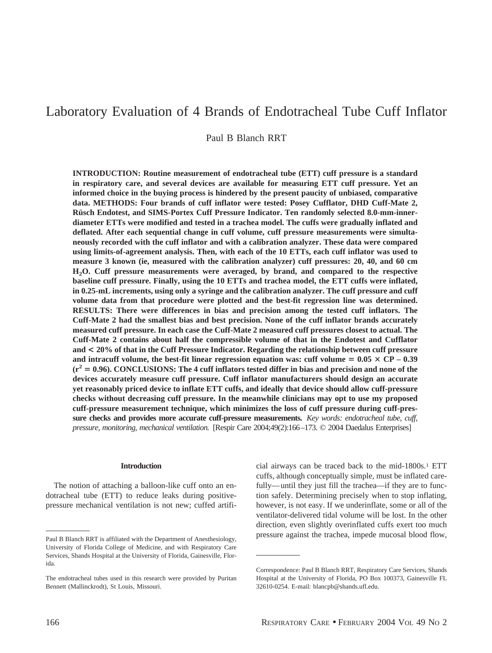# Laboratory Evaluation of 4 Brands of Endotracheal Tube Cuff Inflator

Paul B Blanch RRT

**INTRODUCTION: Routine measurement of endotracheal tube (ETT) cuff pressure is a standard in respiratory care, and several devices are available for measuring ETT cuff pressure. Yet an informed choice in the buying process is hindered by the present paucity of unbiased, comparative data. METHODS: Four brands of cuff inflator were tested: Posey Cufflator, DHD Cuff-Mate 2,** Rüsch Endotest, and SIMS-Portex Cuff Pressure Indicator. Ten randomly selected 8.0-mm-inner**diameter ETTs were modified and tested in a trachea model. The cuffs were gradually inflated and deflated. After each sequential change in cuff volume, cuff pressure measurements were simultaneously recorded with the cuff inflator and with a calibration analyzer. These data were compared using limits-of-agreement analysis. Then, with each of the 10 ETTs, each cuff inflator was used to measure 3 known (ie, measured with the calibration analyzer) cuff pressures: 20, 40, and 60 cm H2O. Cuff pressure measurements were averaged, by brand, and compared to the respective baseline cuff pressure. Finally, using the 10 ETTs and trachea model, the ETT cuffs were inflated, in 0.25-mL increments, using only a syringe and the calibration analyzer. The cuff pressure and cuff volume data from that procedure were plotted and the best-fit regression line was determined. RESULTS: There were differences in bias and precision among the tested cuff inflators. The Cuff-Mate 2 had the smallest bias and best precision. None of the cuff inflator brands accurately measured cuff pressure. In each case the Cuff-Mate 2 measured cuff pressures closest to actual. The Cuff-Mate 2 contains about half the compressible volume of that in the Endotest and Cufflator and < 20% of that in the Cuff Pressure Indicator. Regarding the relationship between cuff pressure** and intracuff volume, the best-fit linear regression equation was: cuff volume  $= 0.05 \times CP - 0.39$  $(r^2 = 0.96)$ . CONCLUSIONS: The 4 cuff inflators tested differ in bias and precision and none of the **devices accurately measure cuff pressure. Cuff inflator manufacturers should design an accurate yet reasonably priced device to inflate ETT cuffs, and ideally that device should allow cuff-pressure checks without decreasing cuff pressure. In the meanwhile clinicians may opt to use my proposed cuff-pressure measurement technique, which minimizes the loss of cuff pressure during cuff-pressure checks and provides more accurate cuff-pressure measurements.** *Key words: endotracheal tube, cuff, pressure, monitoring, mechanical ventilation.* [Respir Care 2004;49(2):166–173. © 2004 Daedalus Enterprises]

### **Introduction**

The notion of attaching a balloon-like cuff onto an endotracheal tube (ETT) to reduce leaks during positivepressure mechanical ventilation is not new; cuffed artifi-

cial airways can be traced back to the mid-1800s.1 ETT cuffs, although conceptually simple, must be inflated carefully—until they just fill the trachea—if they are to function safely. Determining precisely when to stop inflating, however, is not easy. If we underinflate, some or all of the ventilator-delivered tidal volume will be lost. In the other direction, even slightly overinflated cuffs exert too much pressure against the trachea, impede mucosal blood flow,<br>Paul B Blanch RRT is affiliated with the Department of Anesthesiology,

University of Florida College of Medicine, and with Respiratory Care Services, Shands Hospital at the University of Florida, Gainesville, Florida.

The endotracheal tubes used in this research were provided by Puritan Bennett (Mallinckrodt), St Louis, Missouri.

Correspondence: Paul B Blanch RRT, Respiratory Care Services, Shands Hospital at the University of Florida, PO Box 100373, Gainesville FL 32610-0254. E-mail: blancpb@shands.ufl.edu.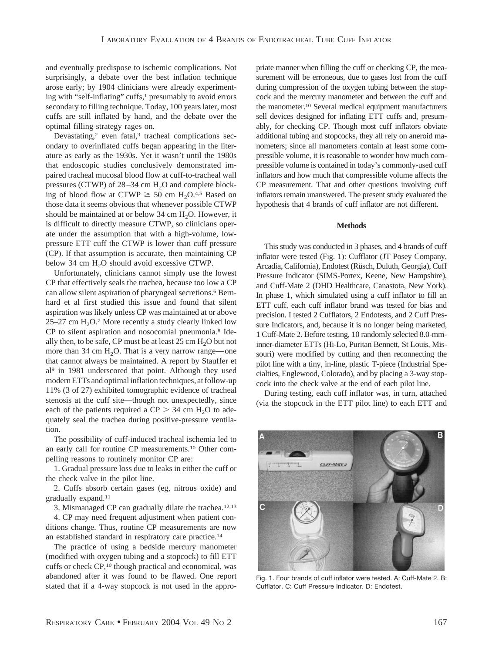and eventually predispose to ischemic complications. Not surprisingly, a debate over the best inflation technique arose early; by 1904 clinicians were already experimenting with "self-inflating" cuffs,<sup>1</sup> presumably to avoid errors secondary to filling technique. Today, 100 years later, most cuffs are still inflated by hand, and the debate over the optimal filling strategy rages on.

Devastating,<sup>2</sup> even fatal,<sup>3</sup> tracheal complications secondary to overinflated cuffs began appearing in the literature as early as the 1930s. Yet it wasn't until the 1980s that endoscopic studies conclusively demonstrated impaired tracheal mucosal blood flow at cuff-to-tracheal wall pressures (CTWP) of  $28-34$  cm  $H<sub>2</sub>O$  and complete blocking of blood flow at CTWP  $\geq$  50 cm H<sub>2</sub>O.<sup>4,5</sup> Based on those data it seems obvious that whenever possible CTWP should be maintained at or below  $34 \text{ cm H}_2\text{O}$ . However, it is difficult to directly measure CTWP, so clinicians operate under the assumption that with a high-volume, lowpressure ETT cuff the CTWP is lower than cuff pressure (CP). If that assumption is accurate, then maintaining CP below 34 cm H<sub>2</sub>O should avoid excessive CTWP.

Unfortunately, clinicians cannot simply use the lowest CP that effectively seals the trachea, because too low a CP can allow silent aspiration of pharyngeal secretions.<sup>6</sup> Bernhard et al first studied this issue and found that silent aspiration was likely unless CP was maintained at or above  $25-27$  cm  $H<sub>2</sub>O<sub>2</sub>$ . More recently a study clearly linked low CP to silent aspiration and nosocomial pneumonia.8 Ideally then, to be safe, CP must be at least  $25 \text{ cm H}_2\text{O}$  but not more than 34 cm  $H_2O$ . That is a very narrow range—one that cannot always be maintained. A report by Stauffer et al9 in 1981 underscored that point. Although they used modern ETTs and optimal inflation techniques, at follow-up 11% (3 of 27) exhibited tomographic evidence of tracheal stenosis at the cuff site—though not unexpectedly, since each of the patients required a  $CP > 34$  cm H<sub>2</sub>O to adequately seal the trachea during positive-pressure ventilation.

The possibility of cuff-induced tracheal ischemia led to an early call for routine CP measurements.10 Other compelling reasons to routinely monitor CP are:

1. Gradual pressure loss due to leaks in either the cuff or the check valve in the pilot line.

2. Cuffs absorb certain gases (eg, nitrous oxide) and gradually expand.11

3. Mismanaged CP can gradually dilate the trachea.12,13

4. CP may need frequent adjustment when patient conditions change. Thus, routine CP measurements are now an established standard in respiratory care practice.14

The practice of using a bedside mercury manometer (modified with oxygen tubing and a stopcock) to fill ETT cuffs or check CP,10 though practical and economical, was abandoned after it was found to be flawed. One report stated that if a 4-way stopcock is not used in the appropriate manner when filling the cuff or checking CP, the measurement will be erroneous, due to gases lost from the cuff during compression of the oxygen tubing between the stopcock and the mercury manometer and between the cuff and the manometer.10 Several medical equipment manufacturers sell devices designed for inflating ETT cuffs and, presumably, for checking CP. Though most cuff inflators obviate additional tubing and stopcocks, they all rely on aneroid manometers; since all manometers contain at least some compressible volume, it is reasonable to wonder how much compressible volume is contained in today's commonly-used cuff inflators and how much that compressible volume affects the CP measurement. That and other questions involving cuff inflators remain unanswered. The present study evaluated the hypothesis that 4 brands of cuff inflator are not different.

#### **Methods**

This study was conducted in 3 phases, and 4 brands of cuff inflator were tested (Fig. 1): Cufflator (JT Posey Company, Arcadia, California), Endotest (Rüsch, Duluth, Georgia), Cuff Pressure Indicator (SIMS-Portex, Keene, New Hampshire), and Cuff-Mate 2 (DHD Healthcare, Canastota, New York). In phase 1, which simulated using a cuff inflator to fill an ETT cuff, each cuff inflator brand was tested for bias and precision. I tested 2 Cufflators, 2 Endotests, and 2 Cuff Pressure Indicators, and, because it is no longer being marketed, 1 Cuff-Mate 2. Before testing, 10 randomly selected 8.0-mminner-diameter ETTs (Hi-Lo, Puritan Bennett, St Louis, Missouri) were modified by cutting and then reconnecting the pilot line with a tiny, in-line, plastic T-piece (Industrial Specialties, Englewood, Colorado), and by placing a 3-way stopcock into the check valve at the end of each pilot line.

During testing, each cuff inflator was, in turn, attached (via the stopcock in the ETT pilot line) to each ETT and



Fig. 1. Four brands of cuff inflator were tested. A: Cuff-Mate 2. B: Cufflator. C: Cuff Pressure Indicator. D: Endotest.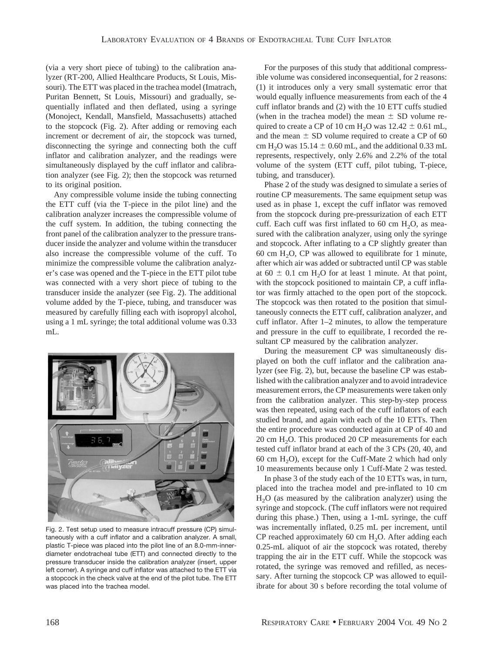(via a very short piece of tubing) to the calibration analyzer (RT-200, Allied Healthcare Products, St Louis, Missouri). The ETT was placed in the trachea model (Imatrach, Puritan Bennett, St Louis, Missouri) and gradually, sequentially inflated and then deflated, using a syringe (Monoject, Kendall, Mansfield, Massachusetts) attached to the stopcock (Fig. 2). After adding or removing each increment or decrement of air, the stopcock was turned, disconnecting the syringe and connecting both the cuff inflator and calibration analyzer, and the readings were simultaneously displayed by the cuff inflator and calibration analyzer (see Fig. 2); then the stopcock was returned to its original position.

Any compressible volume inside the tubing connecting the ETT cuff (via the T-piece in the pilot line) and the calibration analyzer increases the compressible volume of the cuff system. In addition, the tubing connecting the front panel of the calibration analyzer to the pressure transducer inside the analyzer and volume within the transducer also increase the compressible volume of the cuff. To minimize the compressible volume the calibration analyzer's case was opened and the T-piece in the ETT pilot tube was connected with a very short piece of tubing to the transducer inside the analyzer (see Fig. 2). The additional volume added by the T-piece, tubing, and transducer was measured by carefully filling each with isopropyl alcohol, using a 1 mL syringe; the total additional volume was 0.33 mL.



Fig. 2. Test setup used to measure intracuff pressure (CP) simultaneously with a cuff inflator and a calibration analyzer. A small, plastic T-piece was placed into the pilot line of an 8.0-mm-innerdiameter endotracheal tube (ETT) and connected directly to the pressure transducer inside the calibration analyzer (insert, upper left corner). A syringe and cuff inflator was attached to the ETT via a stopcock in the check valve at the end of the pilot tube. The ETT was placed into the trachea model.

For the purposes of this study that additional compressible volume was considered inconsequential, for 2 reasons: (1) it introduces only a very small systematic error that would equally influence measurements from each of the 4 cuff inflator brands and (2) with the 10 ETT cuffs studied (when in the trachea model) the mean  $\pm$  SD volume required to create a CP of 10 cm  $H_2O$  was  $12.42 \pm 0.61$  mL, and the mean  $\pm$  SD volume required to create a CP of 60 cm H<sub>2</sub>O was  $15.14 \pm 0.60$  mL, and the additional 0.33 mL represents, respectively, only 2.6% and 2.2% of the total volume of the system (ETT cuff, pilot tubing, T-piece, tubing, and transducer).

Phase 2 of the study was designed to simulate a series of routine CP measurements. The same equipment setup was used as in phase 1, except the cuff inflator was removed from the stopcock during pre-pressurization of each ETT cuff. Each cuff was first inflated to 60 cm  $H_2O$ , as measured with the calibration analyzer, using only the syringe and stopcock. After inflating to a CP slightly greater than 60 cm  $H<sub>2</sub>O$ , CP was allowed to equilibrate for 1 minute, after which air was added or subtracted until CP was stable at  $60 \pm 0.1$  cm H<sub>2</sub>O for at least 1 minute. At that point, with the stopcock positioned to maintain CP, a cuff inflator was firmly attached to the open port of the stopcock. The stopcock was then rotated to the position that simultaneously connects the ETT cuff, calibration analyzer, and cuff inflator. After 1–2 minutes, to allow the temperature and pressure in the cuff to equilibrate, I recorded the resultant CP measured by the calibration analyzer.

During the measurement CP was simultaneously displayed on both the cuff inflator and the calibration analyzer (see Fig. 2), but, because the baseline CP was established with the calibration analyzer and to avoid intradevice measurement errors, the CP measurements were taken only from the calibration analyzer. This step-by-step process was then repeated, using each of the cuff inflators of each studied brand, and again with each of the 10 ETTs. Then the entire procedure was conducted again at CP of 40 and 20 cm  $H_2O$ . This produced 20 CP measurements for each tested cuff inflator brand at each of the 3 CPs (20, 40, and 60 cm  $H_2O$ , except for the Cuff-Mate 2 which had only 10 measurements because only 1 Cuff-Mate 2 was tested.

In phase 3 of the study each of the 10 ETTs was, in turn, placed into the trachea model and pre-inflated to 10 cm  $H<sub>2</sub>O$  (as measured by the calibration analyzer) using the syringe and stopcock. (The cuff inflators were not required during this phase.) Then, using a 1-mL syringe, the cuff was incrementally inflated, 0.25 mL per increment, until CP reached approximately 60 cm  $H_2O$ . After adding each 0.25-mL aliquot of air the stopcock was rotated, thereby trapping the air in the ETT cuff. While the stopcock was rotated, the syringe was removed and refilled, as necessary. After turning the stopcock CP was allowed to equilibrate for about 30 s before recording the total volume of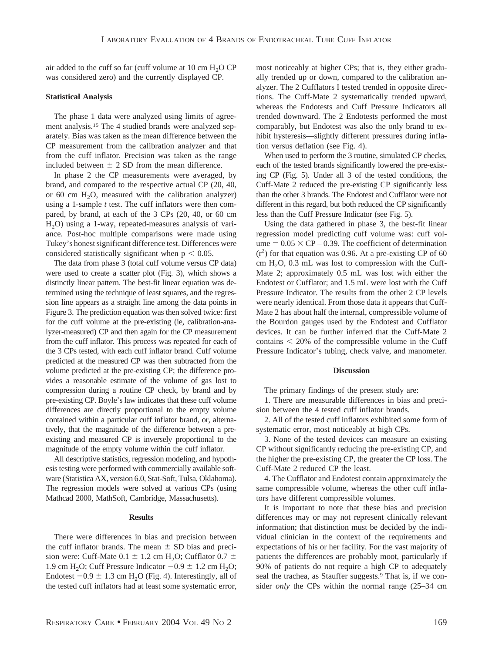air added to the cuff so far (cuff volume at  $10 \text{ cm H}_2$ O CP was considered zero) and the currently displayed CP.

# **Statistical Analysis**

The phase 1 data were analyzed using limits of agreement analysis.15 The 4 studied brands were analyzed separately. Bias was taken as the mean difference between the CP measurement from the calibration analyzer and that from the cuff inflator. Precision was taken as the range included between  $\pm$  2 SD from the mean difference.

In phase 2 the CP measurements were averaged, by brand, and compared to the respective actual CP (20, 40, or 60 cm  $H_2O$ , measured with the calibration analyzer) using a 1-sample *t* test. The cuff inflators were then compared, by brand, at each of the 3 CPs (20, 40, or 60 cm  $H<sub>2</sub>O$ ) using a 1-way, repeated-measures analysis of variance. Post-hoc multiple comparisons were made using Tukey's honest significant difference test. Differences were considered statistically significant when  $p < 0.05$ .

The data from phase 3 (total cuff volume versus CP data) were used to create a scatter plot (Fig. 3), which shows a distinctly linear pattern. The best-fit linear equation was determined using the technique of least squares, and the regression line appears as a straight line among the data points in Figure 3. The prediction equation was then solved twice: first for the cuff volume at the pre-existing (ie, calibration-analyzer-measured) CP and then again for the CP measurement from the cuff inflator. This process was repeated for each of the 3 CPs tested, with each cuff inflator brand. Cuff volume predicted at the measured CP was then subtracted from the volume predicted at the pre-existing CP; the difference provides a reasonable estimate of the volume of gas lost to compression during a routine CP check, by brand and by pre-existing CP. Boyle's law indicates that these cuff volume differences are directly proportional to the empty volume contained within a particular cuff inflator brand, or, alternatively, that the magnitude of the difference between a preexisting and measured CP is inversely proportional to the magnitude of the empty volume within the cuff inflator.

All descriptive statistics, regression modeling, and hypothesis testing were performed with commercially available software (Statistica AX, version 6.0, Stat-Soft, Tulsa, Oklahoma). The regression models were solved at various CPs (using Mathcad 2000, MathSoft, Cambridge, Massachusetts).

### **Results**

There were differences in bias and precision between the cuff inflator brands. The mean  $\pm$  SD bias and precision were: Cuff-Mate  $0.1 \pm 1.2$  cm H<sub>2</sub>O; Cufflator  $0.7 \pm 1.2$ 1.9 cm H<sub>2</sub>O; Cuff Pressure Indicator  $-0.9 \pm 1.2$  cm H<sub>2</sub>O; Endotest  $-0.9 \pm 1.3$  cm H<sub>2</sub>O (Fig. 4). Interestingly, all of the tested cuff inflators had at least some systematic error, most noticeably at higher CPs; that is, they either gradually trended up or down, compared to the calibration analyzer. The 2 Cufflators I tested trended in opposite directions. The Cuff-Mate 2 systematically trended upward, whereas the Endotests and Cuff Pressure Indicators all trended downward. The 2 Endotests performed the most comparably, but Endotest was also the only brand to exhibit hysteresis—slightly different pressures during inflation versus deflation (see Fig. 4).

When used to perform the 3 routine, simulated CP checks, each of the tested brands significantly lowered the pre-existing CP (Fig. 5). Under all 3 of the tested conditions, the Cuff-Mate 2 reduced the pre-existing CP significantly less than the other 3 brands. The Endotest and Cufflator were not different in this regard, but both reduced the CP significantly less than the Cuff Pressure Indicator (see Fig. 5).

Using the data gathered in phase 3, the best-fit linear regression model predicting cuff volume was: cuff volume  $= 0.05 \times CP - 0.39$ . The coefficient of determination  $(r<sup>2</sup>)$  for that equation was 0.96. At a pre-existing CP of 60 cm  $H_2O$ , 0.3 mL was lost to compression with the Cuff-Mate 2; approximately 0.5 mL was lost with either the Endotest or Cufflator; and 1.5 mL were lost with the Cuff Pressure Indicator. The results from the other 2 CP levels were nearly identical. From those data it appears that Cuff-Mate 2 has about half the internal, compressible volume of the Bourdon gauges used by the Endotest and Cufflator devices. It can be further inferred that the Cuff-Mate 2 contains  $\leq 20\%$  of the compressible volume in the Cuff Pressure Indicator's tubing, check valve, and manometer.

#### **Discussion**

The primary findings of the present study are:

1. There are measurable differences in bias and precision between the 4 tested cuff inflator brands.

2. All of the tested cuff inflators exhibited some form of systematic error, most noticeably at high CPs.

3. None of the tested devices can measure an existing CP without significantly reducing the pre-existing CP, and the higher the pre-existing CP, the greater the CP loss. The Cuff-Mate 2 reduced CP the least.

4. The Cufflator and Endotest contain approximately the same compressible volume, whereas the other cuff inflators have different compressible volumes.

It is important to note that these bias and precision differences may or may not represent clinically relevant information; that distinction must be decided by the individual clinician in the context of the requirements and expectations of his or her facility. For the vast majority of patients the differences are probably moot, particularly if 90% of patients do not require a high CP to adequately seal the trachea, as Stauffer suggests.<sup>9</sup> That is, if we consider *only* the CPs within the normal range (25–34 cm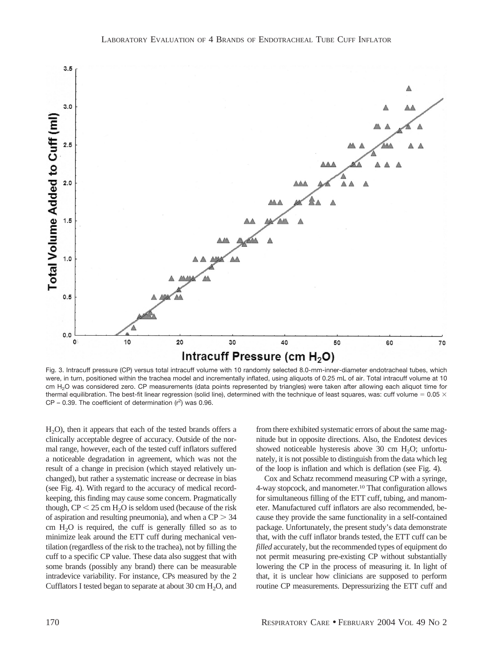

Fig. 3. Intracuff pressure (CP) versus total intracuff volume with 10 randomly selected 8.0-mm-inner-diameter endotracheal tubes, which were, in turn, positioned within the trachea model and incrementally inflated, using aliquots of 0.25 mL of air. Total intracuff volume at 10 cm H<sub>2</sub>O was considered zero. CP measurements (data points represented by triangles) were taken after allowing each aliquot time for thermal equilibration. The best-fit linear regression (solid line), determined with the technique of least squares, was: cuff volume = 0.05  $\times$  $CP - 0.39$ . The coefficient of determination  $(r^2)$  was 0.96.

H<sub>2</sub>O), then it appears that each of the tested brands offers a clinically acceptable degree of accuracy. Outside of the normal range, however, each of the tested cuff inflators suffered a noticeable degradation in agreement, which was not the result of a change in precision (which stayed relatively unchanged), but rather a systematic increase or decrease in bias (see Fig. 4). With regard to the accuracy of medical recordkeeping, this finding may cause some concern. Pragmatically though,  $CP < 25$  cm  $H<sub>2</sub>O$  is seldom used (because of the risk of aspiration and resulting pneumonia), and when a  $CP > 34$ cm  $H<sub>2</sub>O$  is required, the cuff is generally filled so as to minimize leak around the ETT cuff during mechanical ventilation (regardless of the risk to the trachea), not by filling the cuff to a specific CP value. These data also suggest that with some brands (possibly any brand) there can be measurable intradevice variability. For instance, CPs measured by the 2 Cufflators I tested began to separate at about 30 cm  $H_2O$ , and from there exhibited systematic errors of about the same magnitude but in opposite directions. Also, the Endotest devices showed noticeable hysteresis above 30 cm  $H_2O$ ; unfortunately, it is not possible to distinguish from the data which leg of the loop is inflation and which is deflation (see Fig. 4).

Cox and Schatz recommend measuring CP with a syringe, 4-way stopcock, and manometer.10 That configuration allows for simultaneous filling of the ETT cuff, tubing, and manometer. Manufactured cuff inflators are also recommended, because they provide the same functionality in a self-contained package. Unfortunately, the present study's data demonstrate that, with the cuff inflator brands tested, the ETT cuff can be *filled* accurately, but the recommended types of equipment do not permit measuring pre-existing CP without substantially lowering the CP in the process of measuring it. In light of that, it is unclear how clinicians are supposed to perform routine CP measurements. Depressurizing the ETT cuff and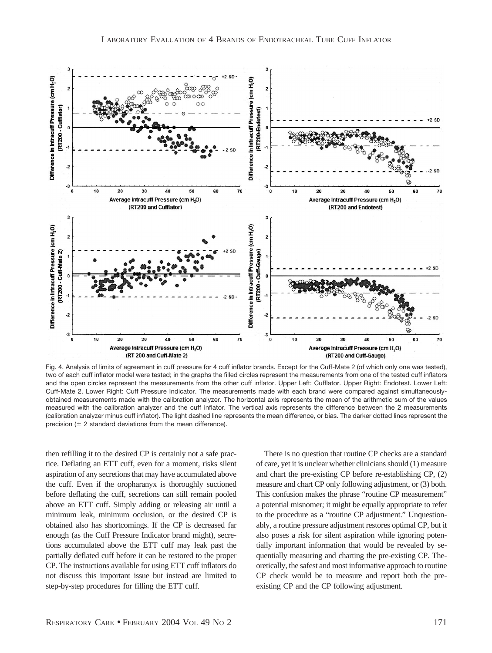

Fig. 4. Analysis of limits of agreement in cuff pressure for 4 cuff inflator brands. Except for the Cuff-Mate 2 (of which only one was tested), two of each cuff inflator model were tested; in the graphs the filled circles represent the measurements from one of the tested cuff inflators and the open circles represent the measurements from the other cuff inflator. Upper Left: Cufflator. Upper Right: Endotest. Lower Left: Cuff-Mate 2. Lower Right: Cuff Pressure Indicator. The measurements made with each brand were compared against simultaneouslyobtained measurements made with the calibration analyzer. The horizontal axis represents the mean of the arithmetic sum of the values measured with the calibration analyzer and the cuff inflator. The vertical axis represents the difference between the 2 measurements (calibration analyzer minus cuff inflator). The light dashed line represents the mean difference, or bias. The darker dotted lines represent the precision ( $\pm$  2 standard deviations from the mean difference).

then refilling it to the desired CP is certainly not a safe practice. Deflating an ETT cuff, even for a moment, risks silent aspiration of any secretions that may have accumulated above the cuff. Even if the oropharanyx is thoroughly suctioned before deflating the cuff, secretions can still remain pooled above an ETT cuff. Simply adding or releasing air until a minimum leak, minimum occlusion, or the desired CP is obtained also has shortcomings. If the CP is decreased far enough (as the Cuff Pressure Indicator brand might), secretions accumulated above the ETT cuff may leak past the partially deflated cuff before it can be restored to the proper CP. The instructions available for using ETT cuff inflators do not discuss this important issue but instead are limited to step-by-step procedures for filling the ETT cuff.

There is no question that routine CP checks are a standard of care, yet it is unclear whether clinicians should (1) measure and chart the pre-existing CP before re-establishing CP, (2) measure and chart CP only following adjustment, or (3) both. This confusion makes the phrase "routine CP measurement" a potential misnomer; it might be equally appropriate to refer to the procedure as a "routine CP adjustment." Unquestionably, a routine pressure adjustment restores optimal CP, but it also poses a risk for silent aspiration while ignoring potentially important information that would be revealed by sequentially measuring and charting the pre-existing CP. Theoretically, the safest and most informative approach to routine CP check would be to measure and report both the preexisting CP and the CP following adjustment.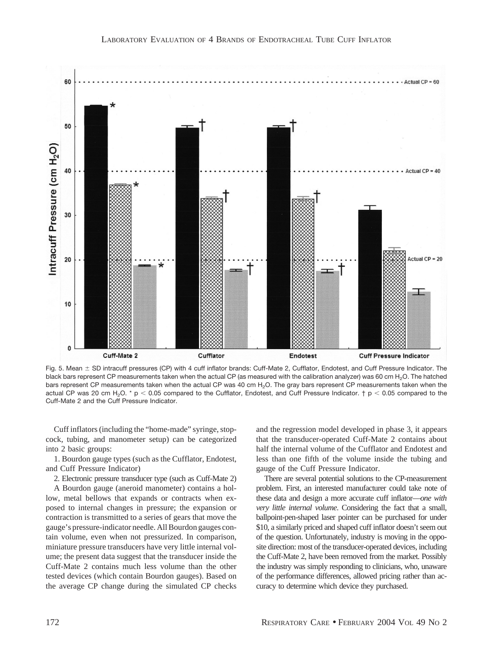

Fig. 5. Mean  $\pm$  SD intracuff pressures (CP) with 4 cuff inflator brands: Cuff-Mate 2, Cufflator, Endotest, and Cuff Pressure Indicator. The black bars represent CP measurements taken when the actual CP (as measured with the calibration analyzer) was 60 cm H<sub>2</sub>O. The hatched bars represent CP measurements taken when the actual CP was 40 cm H<sub>2</sub>O. The gray bars represent CP measurements taken when the actual CP was 20 cm H<sub>2</sub>O. \* p < 0.05 compared to the Cufflator, Endotest, and Cuff Pressure Indicator.  $\dagger$  p < 0.05 compared to the Cuff-Mate 2 and the Cuff Pressure Indicator.

Cuff inflators (including the "home-made" syringe, stopcock, tubing, and manometer setup) can be categorized into 2 basic groups:

1. Bourdon gauge types (such as the Cufflator, Endotest, and Cuff Pressure Indicator)

2. Electronic pressure transducer type (such as Cuff-Mate 2)

A Bourdon gauge (aneroid manometer) contains a hollow, metal bellows that expands or contracts when exposed to internal changes in pressure; the expansion or contraction is transmitted to a series of gears that move the gauge's pressure-indicator needle. All Bourdon gauges contain volume, even when not pressurized. In comparison, miniature pressure transducers have very little internal volume; the present data suggest that the transducer inside the Cuff-Mate 2 contains much less volume than the other tested devices (which contain Bourdon gauges). Based on the average CP change during the simulated CP checks and the regression model developed in phase 3, it appears that the transducer-operated Cuff-Mate 2 contains about half the internal volume of the Cufflator and Endotest and less than one fifth of the volume inside the tubing and gauge of the Cuff Pressure Indicator.

There are several potential solutions to the CP-measurement problem. First, an interested manufacturer could take note of these data and design a more accurate cuff inflator—*one with very little internal volume*. Considering the fact that a small, ballpoint-pen-shaped laser pointer can be purchased for under \$10, a similarly priced and shaped cuff inflator doesn't seem out of the question. Unfortunately, industry is moving in the opposite direction: most of the transducer-operated devices, including the Cuff-Mate 2, have been removed from the market. Possibly the industry was simply responding to clinicians, who, unaware of the performance differences, allowed pricing rather than accuracy to determine which device they purchased.